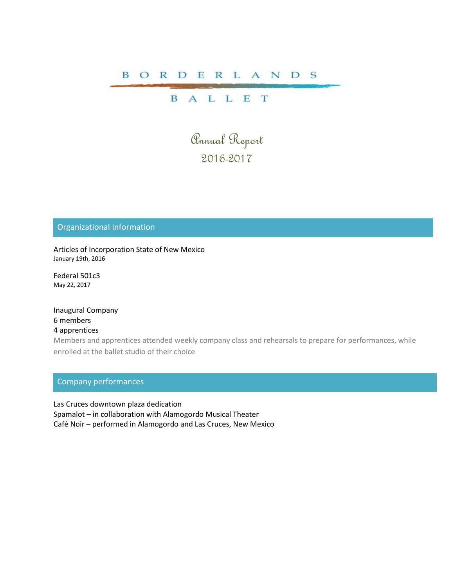## B O R D E R L A N D S

# **BALLET**

Annual Report 2016-2017

## Organizational Information

Articles of Incorporation State of New Mexico January 19th, 2016

Federal 501c3 May 22, 2017

Inaugural Company 6 members 4 apprentices

Members and apprentices attended weekly company class and rehearsals to prepare for performances, while enrolled at the ballet studio of their choice

# Company performances

Las Cruces downtown plaza dedication Spamalot – in collaboration with Alamogordo Musical Theater Café Noir – performed in Alamogordo and Las Cruces, New Mexico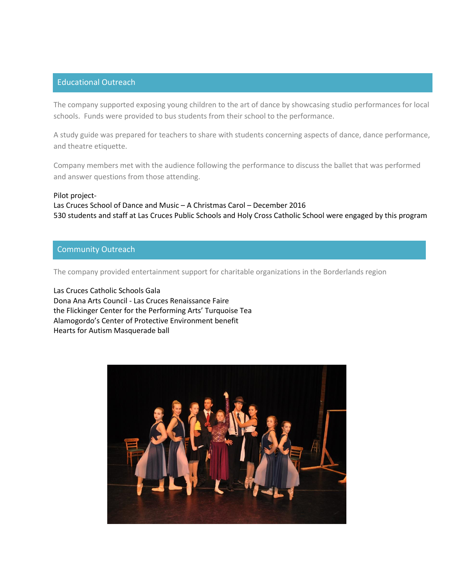### Educational Outreach

The company supported exposing young children to the art of dance by showcasing studio performances for local schools. Funds were provided to bus students from their school to the performance.

A study guide was prepared for teachers to share with students concerning aspects of dance, dance performance, and theatre etiquette.

Company members met with the audience following the performance to discuss the ballet that was performed and answer questions from those attending.

#### Pilot project-

Las Cruces School of Dance and Music – A Christmas Carol – December 2016 530 students and staff at Las Cruces Public Schools and Holy Cross Catholic School were engaged by this program

### Community Outreach

The company provided entertainment support for charitable organizations in the Borderlands region

Las Cruces Catholic Schools Gala Dona Ana Arts Council - Las Cruces Renaissance Faire the Flickinger Center for the Performing Arts' Turquoise Tea Alamogordo's Center of Protective Environment benefit Hearts for Autism Masquerade ball